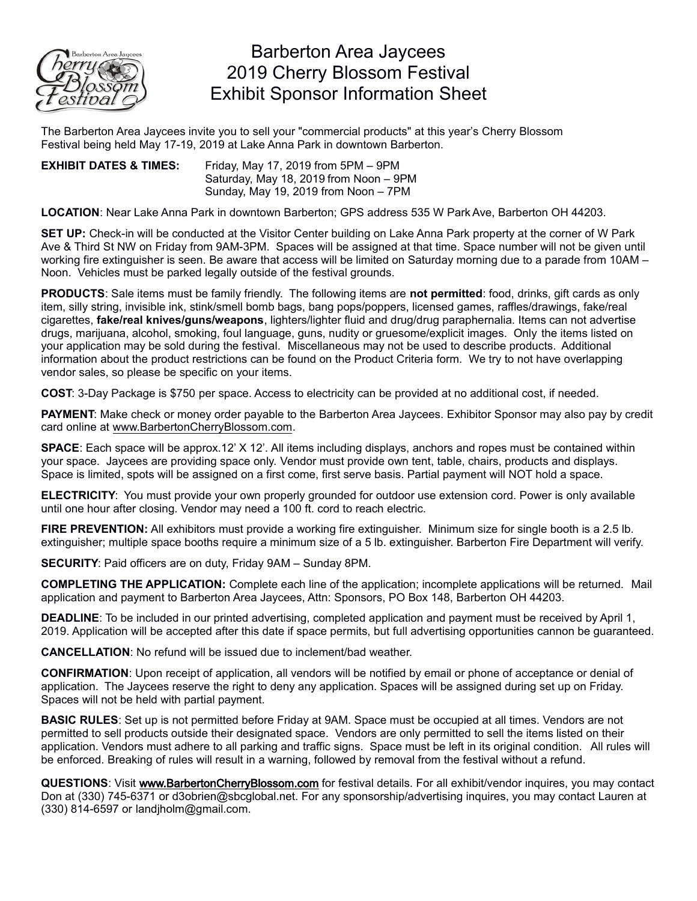

## Barberton Area Jaycees 2019 Cherry Blossom Festival Exhibit Sponsor Information Sheet

The Barberton Area Jaycees invite you to sell your "commercial products" at this year's Cherry Blossom Festival being held May 17-19, 2019 at Lake Anna Park in downtown Barberton.

## **EXHIBIT DATES & TIMES:** Friday, May 17, 2019 from 5PM – 9PM Saturday, May 18, 2019 from Noon – 9PM Sunday, May 19, 2019 from Noon – 7PM

**LOCATION**: Near Lake Anna Park in downtown Barberton; GPS address 535 W Park Ave, Barberton OH 44203.

**SET UP:** Check-in will be conducted at the Visitor Center building on Lake Anna Park property at the corner of W Park Ave & Third St NW on Friday from 9AM-3PM. Spaces will be assigned at that time. Space number will not be given until working fire extinguisher is seen. Be aware that access will be limited on Saturday morning due to a parade from 10AM – Noon. Vehicles must be parked legally outside of the festival grounds.

**PRODUCTS**: Sale items must be family friendly. The following items are **not permitted**: food, drinks, gift cards as only item, silly string, invisible ink, stink/smell bomb bags, bang pops/poppers, licensed games, raffles/drawings, fake/real cigarettes, **fake/real knives/guns/weapons**, lighters/lighter fluid and drug/drug paraphernalia. Items can not advertise drugs, marijuana, alcohol, smoking, foul language, guns, nudity or gruesome/explicit images. Only the items listed on your application may be sold during the festival. Miscellaneous may not be used to describe products. Additional information about the product restrictions can be found on the Product Criteria form. We try to not have overlapping vendor sales, so please be specific on your items.

**COST**: 3-Day Package is \$750 per space. Access to electricity can be provided at no additional cost, if needed.

**PAYMENT**: Make check or money order payable to the Barberton Area Jaycees. Exhibitor Sponsor may also pay by credit card online at [www.BarbertonCherryBlossom.com.](http://www.BarbertonCherryBlossom.com/)

**SPACE**: Each space will be approx.12' X 12'. All items including displays, anchors and ropes must be contained within your space. Jaycees are providing space only. Vendor must provide own tent, table, chairs, products and displays. Space is limited, spots will be assigned on a first come, first serve basis. Partial payment will NOT hold a space.

**ELECTRICITY**: You must provide your own properly grounded for outdoor use extension cord. Power is only available until one hour after closing. Vendor may need a 100 ft. cord to reach electric.

**FIRE PREVENTION:** All exhibitors must provide a working fire extinguisher. Minimum size for single booth is a 2.5 lb. extinguisher; multiple space booths require a minimum size of a 5 lb. extinguisher. Barberton Fire Department will verify.

**SECURITY**: Paid officers are on duty, Friday 9AM – Sunday 8PM.

**COMPLETING THE APPLICATION:** Complete each line of the application; incomplete applications will be returned. Mail application and payment to Barberton Area Jaycees, Attn: Sponsors, PO Box 148, Barberton OH 44203.

**DEADLINE**: To be included in our printed advertising, completed application and payment must be received by April 1, 2019. Application will be accepted after this date if space permits, but full advertising opportunities cannon be guaranteed.

**CANCELLATION**: No refund will be issued due to inclement/bad weather.

**CONFIRMATION**: Upon receipt of application, all vendors will be notified by email or phone of acceptance or denial of application. The Jaycees reserve the right to deny any application. Spaces will be assigned during set up on Friday. Spaces will not be held with partial payment.

**BASIC RULES**: Set up is not permitted before Friday at 9AM. Space must be occupied at all times. Vendors are not permitted to sell products outside their designated space. Vendors are only permitted to sell the items listed on their application. Vendors must adhere to all parking and traffic signs. Space must be left in its original condition. All rules will be enforced. Breaking of rules will result in a warning, followed by removal from the festival without a refund.

**QUESTIONS**: Visit [www.BarbertonCherryBlossom.com](http://www.BarbertonCherryBlossom.com/) for festival details. For all exhibit/vend[or inquires, you may co](mailto:landjholm@gmail.com)ntact Don at (330) 745-6371 or d3obrien@sbcglobal.net. For any sponsorship/advertising inquires, you may contact Lauren at (330) 814-6597 [or landjholm@gmail.com](http://www.BarbertonCherryBlossom.com/).